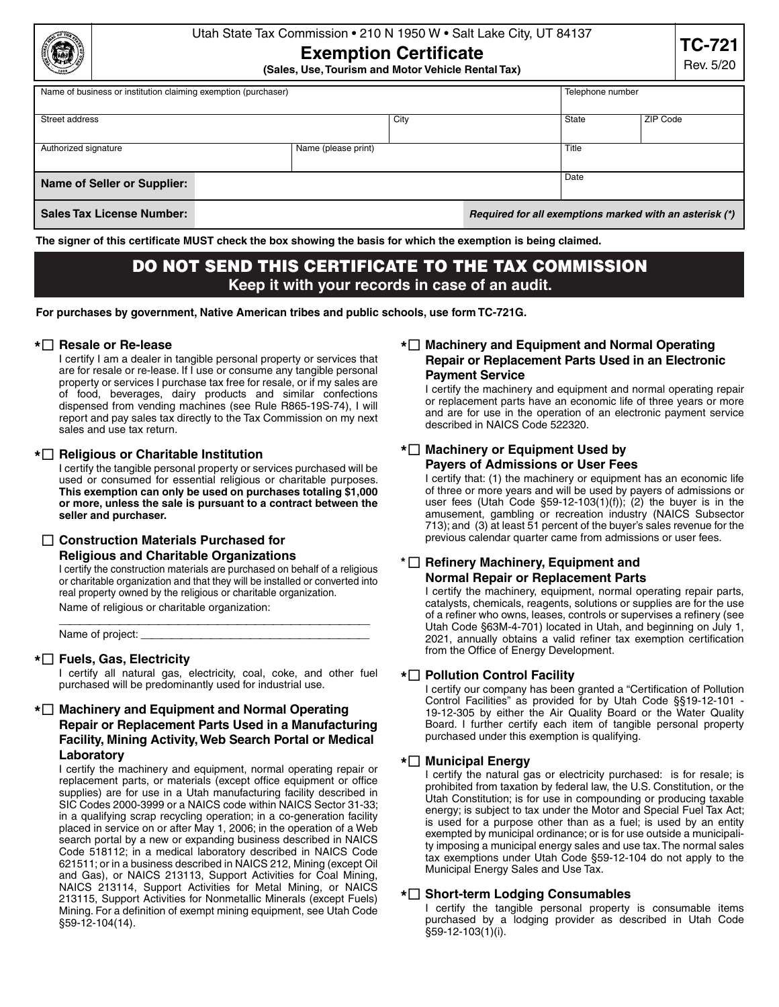## Utah State Tax Commission • 210 N 1950 W • Salt Lake City, UT 84137

# **Exemption Certificate**

**(Sales, Use, Tourism and Motor Vehicle Rental Tax)**

| Name of business or institution claiming exemption (purchaser) |                     |                                                         |  | Telephone number |          |  |
|----------------------------------------------------------------|---------------------|---------------------------------------------------------|--|------------------|----------|--|
|                                                                |                     |                                                         |  |                  |          |  |
|                                                                |                     |                                                         |  |                  |          |  |
| Street address                                                 |                     | City                                                    |  | State            | ZIP Code |  |
|                                                                |                     |                                                         |  |                  |          |  |
|                                                                |                     |                                                         |  |                  |          |  |
| Authorized signature                                           | Name (please print) |                                                         |  |                  | Title    |  |
|                                                                |                     |                                                         |  |                  |          |  |
|                                                                |                     |                                                         |  |                  |          |  |
|                                                                |                     |                                                         |  | Date             |          |  |
| Name of Seller or Supplier:                                    |                     |                                                         |  |                  |          |  |
|                                                                |                     |                                                         |  |                  |          |  |
|                                                                |                     |                                                         |  |                  |          |  |
| <b>Sales Tax License Number:</b>                               |                     | Required for all exemptions marked with an asterisk (*) |  |                  |          |  |
|                                                                |                     |                                                         |  |                  |          |  |

**The signer of this certificate MUST check the box showing the basis for which the exemption is being claimed.** 

## DO NOT SEND THIS CERTIFICATE TO THE TAX COMMISSION **Keep it with your records in case of an audit.**

**For purchases by government, Native American tribes and public schools, use form TC-721G.**

#### **\* Resale or Re-lease**

I certify I am a dealer in tangible personal property or services that are for resale or re-lease. If I use or consume any tangible personal property or services I purchase tax free for resale, or if my sales are of food, beverages, dairy products and similar confections dispensed from vending machines (see Rule R865-19S-74), I will report and pay sales tax directly to the Tax Commission on my next sales and use tax return.

#### **\* Religious or Charitable Institution**

I certify the tangible personal property or services purchased will be used or consumed for essential religious or charitable purposes. **This exemption can only be used on purchases totaling \$1,000 or more, unless the sale is pursuant to a contract between the seller and purchaser.**

#### **Construction Materials Purchased for**

#### **Religious and Charitable Organizations**

I certify the construction materials are purchased on behalf of a religious or charitable organization and that they will be installed or converted into real property owned by the religious or charitable organization.

Name of religious or charitable organization:<br>———————————————————————————————————

Name of project:

#### **\* Fuels, Gas, Electricity**

I certify all natural gas, electricity, coal, coke, and other fuel purchased will be predominantly used for industrial use.

## **\* Machinery and Equipment and Normal Operating Repair or Replacement Parts Used in a Manufacturing Facility, Mining Activity, Web Search Portal or Medical Laboratory**

I certify the machinery and equipment, normal operating repair or replacement parts, or materials (except office equipment or office supplies) are for use in a Utah manufacturing facility described in SIC Codes 2000-3999 or a NAICS code within NAICS Sector 31-33; in a qualifying scrap recycling operation; in a co-generation facility placed in service on or after May 1, 2006; in the operation of a Web search portal by a new or expanding business described in NAICS Code 518112; in a medical laboratory described in NAICS Code 621511; or in a business described in NAICS 212, Mining (except Oil and Gas), or NAICS 213113, Support Activities for Coal Mining, NAICS 213114, Support Activities for Metal Mining, or NAICS 213115, Support Activities for Nonmetallic Minerals (except Fuels) Mining. For a definition of exempt mining equipment, see Utah Code §59-12-104(14).

## **\* Machinery and Equipment and Normal Operating Repair or Replacement Parts Used in an Electronic Payment Service**

I certify the machinery and equipment and normal operating repair or replacement parts have an economic life of three years or more and are for use in the operation of an electronic payment service described in NAICS Code 522320.

## **\* Machinery or Equipment Used by Payers of Admissions or User Fees**

I certify that: (1) the machinery or equipment has an economic life of three or more years and will be used by payers of admissions or user fees (Utah Code  $\S59-12-103(1)(f)$ ); (2) the buyer is in the amusement, gambling or recreation industry (NAICS Subsector 713); and (3) at least 51 percent of the buyer's sales revenue for the previous calendar quarter came from admissions or user fees.

## **\* Refinery Machinery, Equipment and Normal Repair or Replacement Parts**

I certify the machinery, equipment, normal operating repair parts, catalysts, chemicals, reagents, solutions or supplies are for the use of a refiner who owns, leases, controls or supervises a refinery (see Utah Code §63M-4-701) located in Utah, and beginning on July 1, 2021, annually obtains a valid refiner tax exemption certification from the Office of Energy Development.

#### **\* Pollution Control Facility**

I certify our company has been granted a "Certification of Pollution Control Facilities" as provided for by Utah Code §§19-12-101 - 19-12-305 by either the Air Quality Board or the Water Quality Board. I further certify each item of tangible personal property purchased under this exemption is qualifying.

#### **\* Municipal Energy**

I certify the natural gas or electricity purchased: is for resale; is prohibited from taxation by federal law, the U.S. Constitution, or the Utah Constitution; is for use in compounding or producing taxable energy; is subject to tax under the Motor and Special Fuel Tax Act; is used for a purpose other than as a fuel; is used by an entity exempted by municipal ordinance; or is for use outside a municipality imposing a municipal energy sales and use tax. The normal sales tax exemptions under Utah Code §59-12-104 do not apply to the Municipal Energy Sales and Use Tax.

#### **\* Short-term Lodging Consumables**

I certify the tangible personal property is consumable items purchased by a lodging provider as described in Utah Code §59-12-103(1)(i).